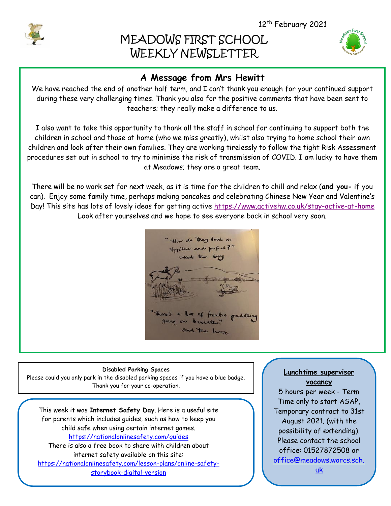# MEADOWS FIRST SCHOOL WEEKLY NEWSLETTER

## **A Message from Mrs Hewitt**

We have reached the end of another half term, and I can't thank you enough for your continued support during these very challenging times. Thank you also for the positive comments that have been sent to teachers; they really make a difference to us.

I also want to take this opportunity to thank all the staff in school for continuing to support both the children in school and those at home (who we miss greatly), whilst also trying to home school their own children and look after their own families. They are working tirelessly to follow the tight Risk Assessment procedures set out in school to try to minimise the risk of transmission of COVID. I am lucky to have them at Meadows; they are a great team.

There will be no work set for next week, as it is time for the children to chill and relax (**and you-** if you can). Enjoy some family time, perhaps making pancakes and celebrating Chinese New Year and Valentine's Day! This site has lots of lovely ideas for getting active<https://www.activehw.co.uk/stay-active-at-home> Look after yourselves and we hope to see everyone back in school very soon.



#### **Disabled Parking Spaces**

Please could you only park in the disabled parking spaces if you have a blue badge. Thank you for your co-operation.

This week it was **Internet Safety Day**. Here is a useful site for parents which includes guides, such as how to keep you child safe when using certain internet games. <https://nationalonlinesafety.com/guides> There is also a free book to share with children about internet safety available on this site:

[https://nationalonlinesafety.com/lesson-plans/online-safety](https://nationalonlinesafety.com/lesson-plans/online-safety-storybook-digital-version)[storybook-digital-version](https://nationalonlinesafety.com/lesson-plans/online-safety-storybook-digital-version)

### **Lunchtime supervisor vacancy**

5 hours per week - Term Time only to start ASAP, Temporary contract to 31st August 2021. (with the possibility of extending). Please contact the school office: 01527872508 or [office@meadows.worcs.sch.](mailto:office@meadows.worcs.sch.uk)

[uk](mailto:office@meadows.worcs.sch.uk)



I

I

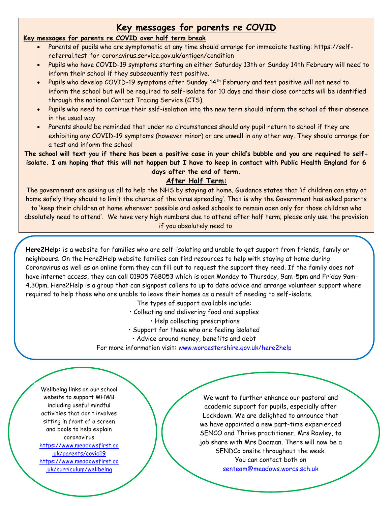### **Key messages for parents re COVID**

### **Key messages for parents re COVID over half term break**

- Parents of pupils who are symptomatic at any time should arrange for immediate testing: https://selfreferral.test-for-coronavirus.service.gov.uk/antigen/condition
- Pupils who have COVID-19 symptoms starting on either Saturday 13th or Sunday 14th February will need to inform their school if they subsequently test positive.
- Pupils who develop COVID-19 symptoms after Sunday 14th February and test positive will not need to inform the school but will be required to self-isolate for 10 days and their close contacts will be identified through the national Contact Tracing Service (CTS).
- Pupils who need to continue their self-isolation into the new term should inform the school of their absence in the usual way.
- Parents should be reminded that under no circumstances should any pupil return to school if they are exhibiting any COVID-19 symptoms (however minor) or are unwell in any other way. They should arrange for a test and inform the school

**The school will text you if there has been a positive case in your child's bubble and you are required to selfisolate. I am hoping that this will not happen but I have to keep in contact with Public Health England for 6 days after the end of term.**

### **After Half Term:**

The government are asking us all to help the NHS by staying at home. Guidance states that 'if children can stay at home safely they should to limit the chance of the virus spreading'. That is why the Government has asked parents to 'keep their children at home wherever possible and asked schools to remain open only for those children who absolutely need to attend'. We have very high numbers due to attend after half term; please only use the provision if you absolutely need to.

**Here2Help:** is a website for families who are self-isolating and unable to get support from friends, family or neighbours. On the Here2Help website families can find resources to help with staying at home during Coronavirus as well as an online form they can fill out to request the support they need. If the family does not have internet access, they can call 01905 768053 which is open Monday to Thursday, 9am-5pm and Friday 9am-4.30pm. Here2Help is a group that can signpost callers to up to date advice and arrange volunteer support where required to help those who are unable to leave their homes as a result of needing to self-isolate.

The types of support available include:

• Collecting and delivering food and supplies

• Help collecting prescriptions

- Support for those who are feeling isolated
- Advice around money, benefits and debt

For more information visit: [www.worcestershire.gov.uk/here2help](http://www.worcestershire.gov.uk/here2help)

Wellbeing links on our school website to support MHWB including useful mindful activities that don't involves sitting in front of a screen and bools to help explain coronavirus [https://www.meadowsfirst.co](https://www.meadowsfirst.co.uk/parents/covid19) [.uk/parents/covid19](https://www.meadowsfirst.co.uk/parents/covid19) [https://www.meadowsfirst.co](https://www.meadowsfirst.co.uk/curriculum/wellbeing) [.uk/curriculum/wellbeing](https://www.meadowsfirst.co.uk/curriculum/wellbeing)

We want to further enhance our pastoral and academic support for pupils, especially after Lockdown. We are delighted to announce that we have appointed a new part-time experienced SENCO and Thrive practitioner, Mrs Rowley, to job share with Mrs Dodman. There will now be a SENDCo onsite throughout the week. You can contact both on [senteam@meadows.worcs.sch.uk](mailto:senteam@meadows.worcs.sch.uk)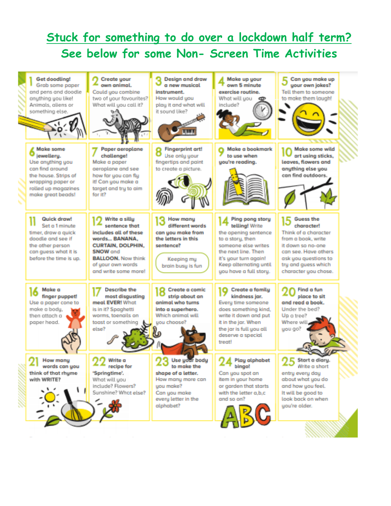## **Stuck for something to do over a lockdown half term? See below for some Non- Screen Time Activities**